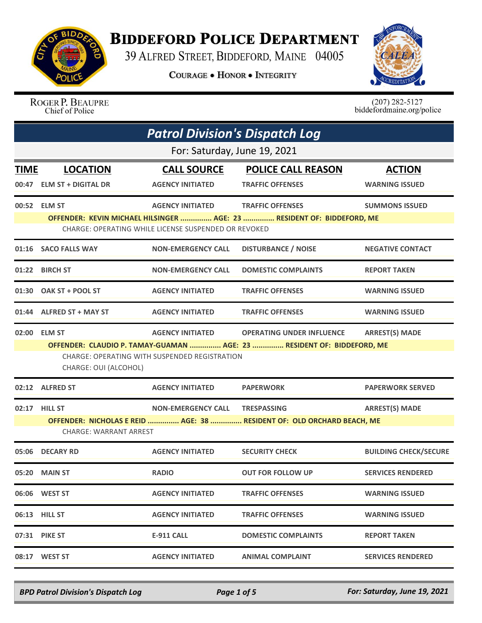

## **BIDDEFORD POLICE DEPARTMENT**

39 ALFRED STREET, BIDDEFORD, MAINE 04005

**COURAGE . HONOR . INTEGRITY** 



ROGER P. BEAUPRE Chief of Police

 $(207)$  282-5127<br>biddefordmaine.org/police

| <b>Patrol Division's Dispatch Log</b> |                                                                                                                                                  |                                |                                  |                              |  |  |
|---------------------------------------|--------------------------------------------------------------------------------------------------------------------------------------------------|--------------------------------|----------------------------------|------------------------------|--|--|
|                                       | For: Saturday, June 19, 2021                                                                                                                     |                                |                                  |                              |  |  |
| <b>TIME</b>                           | <b>LOCATION</b>                                                                                                                                  | <b>CALL SOURCE</b>             | <b>POLICE CALL REASON</b>        | <b>ACTION</b>                |  |  |
| 00:47                                 | <b>ELM ST + DIGITAL DR</b>                                                                                                                       | <b>AGENCY INITIATED</b>        | <b>TRAFFIC OFFENSES</b>          | <b>WARNING ISSUED</b>        |  |  |
|                                       | 00:52 ELM ST                                                                                                                                     | <b>AGENCY INITIATED</b>        | <b>TRAFFIC OFFENSES</b>          | <b>SUMMONS ISSUED</b>        |  |  |
|                                       | OFFENDER: KEVIN MICHAEL HILSINGER  AGE: 23  RESIDENT OF: BIDDEFORD, ME<br>CHARGE: OPERATING WHILE LICENSE SUSPENDED OR REVOKED                   |                                |                                  |                              |  |  |
|                                       | 01:16 SACO FALLS WAY                                                                                                                             | <b>NON-EMERGENCY CALL</b>      | <b>DISTURBANCE / NOISE</b>       | <b>NEGATIVE CONTACT</b>      |  |  |
|                                       | 01:22 BIRCH ST                                                                                                                                   | <b>NON-EMERGENCY CALL</b>      | <b>DOMESTIC COMPLAINTS</b>       | <b>REPORT TAKEN</b>          |  |  |
|                                       | 01:30 OAK ST + POOL ST                                                                                                                           | <b>AGENCY INITIATED</b>        | <b>TRAFFIC OFFENSES</b>          | <b>WARNING ISSUED</b>        |  |  |
|                                       | 01:44 ALFRED ST + MAY ST                                                                                                                         | <b>AGENCY INITIATED</b>        | <b>TRAFFIC OFFENSES</b>          | <b>WARNING ISSUED</b>        |  |  |
| 02:00                                 | <b>ELM ST</b>                                                                                                                                    | <b>AGENCY INITIATED</b>        | <b>OPERATING UNDER INFLUENCE</b> | <b>ARREST(S) MADE</b>        |  |  |
|                                       | OFFENDER: CLAUDIO P. TAMAY-GUAMAN  AGE: 23  RESIDENT OF: BIDDEFORD, ME<br>CHARGE: OPERATING WITH SUSPENDED REGISTRATION<br>CHARGE: OUI (ALCOHOL) |                                |                                  |                              |  |  |
|                                       | 02:12 ALFRED ST                                                                                                                                  | <b>AGENCY INITIATED</b>        | <b>PAPERWORK</b>                 | <b>PAPERWORK SERVED</b>      |  |  |
|                                       | 02:17 HILL ST                                                                                                                                    | NON-EMERGENCY CALL TRESPASSING |                                  | <b>ARREST(S) MADE</b>        |  |  |
|                                       | OFFENDER: NICHOLAS E REID  AGE: 38  RESIDENT OF: OLD ORCHARD BEACH, ME<br><b>CHARGE: WARRANT ARREST</b>                                          |                                |                                  |                              |  |  |
|                                       | 05:06 DECARY RD                                                                                                                                  | <b>AGENCY INITIATED</b>        | <b>SECURITY CHECK</b>            | <b>BUILDING CHECK/SECURE</b> |  |  |
| 05:20                                 | <b>MAIN ST</b>                                                                                                                                   | <b>RADIO</b>                   | <b>OUT FOR FOLLOW UP</b>         | <b>SERVICES RENDERED</b>     |  |  |
|                                       |                                                                                                                                                  | <b>AGENCY INITIATED</b>        | <b>TRAFFIC OFFENSES</b>          | <b>WARNING ISSUED</b>        |  |  |
|                                       | 06:13 HILL ST                                                                                                                                    | <b>AGENCY INITIATED</b>        | <b>TRAFFIC OFFENSES</b>          | <b>WARNING ISSUED</b>        |  |  |
|                                       | 07:31 PIKE ST                                                                                                                                    | E-911 CALL                     | <b>DOMESTIC COMPLAINTS</b>       | <b>REPORT TAKEN</b>          |  |  |
|                                       | 08:17 WEST ST                                                                                                                                    | <b>AGENCY INITIATED</b>        | <b>ANIMAL COMPLAINT</b>          | <b>SERVICES RENDERED</b>     |  |  |

*BPD Patrol Division's Dispatch Log Page 1 of 5 For: Saturday, June 19, 2021*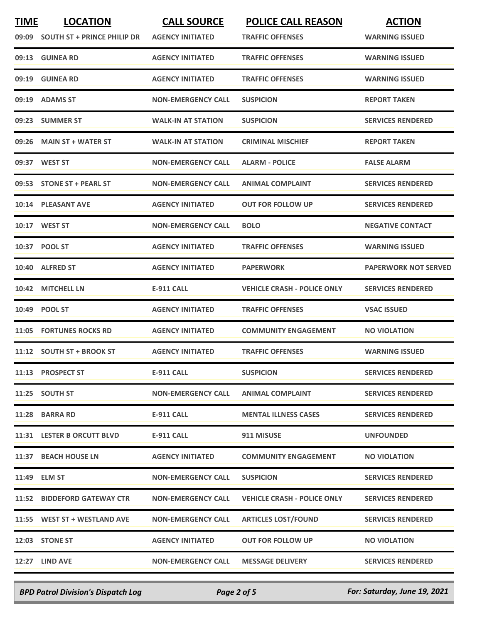| <b>TIME</b> | <b>LOCATION</b><br>09:09 SOUTH ST + PRINCE PHILIP DR | <b>CALL SOURCE</b><br><b>AGENCY INITIATED</b> | <b>POLICE CALL REASON</b><br><b>TRAFFIC OFFENSES</b> | <b>ACTION</b><br><b>WARNING ISSUED</b> |
|-------------|------------------------------------------------------|-----------------------------------------------|------------------------------------------------------|----------------------------------------|
|             | 09:13 GUINEA RD                                      | <b>AGENCY INITIATED</b>                       | <b>TRAFFIC OFFENSES</b>                              | <b>WARNING ISSUED</b>                  |
| 09:19       | <b>GUINEA RD</b>                                     | <b>AGENCY INITIATED</b>                       | <b>TRAFFIC OFFENSES</b>                              | <b>WARNING ISSUED</b>                  |
| 09:19       | <b>ADAMS ST</b>                                      | <b>NON-EMERGENCY CALL</b>                     | <b>SUSPICION</b>                                     | <b>REPORT TAKEN</b>                    |
|             | 09:23 SUMMER ST                                      | <b>WALK-IN AT STATION</b>                     | <b>SUSPICION</b>                                     | <b>SERVICES RENDERED</b>               |
| 09:26       | <b>MAIN ST + WATER ST</b>                            | <b>WALK-IN AT STATION</b>                     | <b>CRIMINAL MISCHIEF</b>                             | <b>REPORT TAKEN</b>                    |
|             | 09:37 WEST ST                                        | <b>NON-EMERGENCY CALL</b>                     | <b>ALARM - POLICE</b>                                | <b>FALSE ALARM</b>                     |
|             | 09:53 STONE ST + PEARL ST                            | <b>NON-EMERGENCY CALL</b>                     | <b>ANIMAL COMPLAINT</b>                              | <b>SERVICES RENDERED</b>               |
|             | 10:14 PLEASANT AVE                                   | <b>AGENCY INITIATED</b>                       | OUT FOR FOLLOW UP                                    | <b>SERVICES RENDERED</b>               |
|             | 10:17 WEST ST                                        | <b>NON-EMERGENCY CALL</b>                     | <b>BOLO</b>                                          | <b>NEGATIVE CONTACT</b>                |
|             | 10:37 POOL ST                                        | <b>AGENCY INITIATED</b>                       | <b>TRAFFIC OFFENSES</b>                              | <b>WARNING ISSUED</b>                  |
| 10:40       | <b>ALFRED ST</b>                                     | <b>AGENCY INITIATED</b>                       | <b>PAPERWORK</b>                                     | <b>PAPERWORK NOT SERVED</b>            |
| 10:42       | <b>MITCHELL LN</b>                                   | <b>E-911 CALL</b>                             | <b>VEHICLE CRASH - POLICE ONLY</b>                   | <b>SERVICES RENDERED</b>               |
|             | 10:49 POOL ST                                        | <b>AGENCY INITIATED</b>                       | <b>TRAFFIC OFFENSES</b>                              | <b>VSAC ISSUED</b>                     |
| 11:05       | <b>FORTUNES ROCKS RD</b>                             | <b>AGENCY INITIATED</b>                       | <b>COMMUNITY ENGAGEMENT</b>                          | <b>NO VIOLATION</b>                    |
|             | 11:12 SOUTH ST + BROOK ST                            | <b>AGENCY INITIATED</b>                       | <b>TRAFFIC OFFENSES</b>                              | <b>WARNING ISSUED</b>                  |
|             | 11:13 PROSPECT ST                                    | <b>E-911 CALL</b>                             | <b>SUSPICION</b>                                     | <b>SERVICES RENDERED</b>               |
|             | 11:25 SOUTH ST                                       | <b>NON-EMERGENCY CALL</b>                     | <b>ANIMAL COMPLAINT</b>                              | <b>SERVICES RENDERED</b>               |
|             | 11:28 BARRA RD                                       | E-911 CALL                                    | <b>MENTAL ILLNESS CASES</b>                          | <b>SERVICES RENDERED</b>               |
|             | 11:31 LESTER B ORCUTT BLVD                           | <b>E-911 CALL</b>                             | 911 MISUSE                                           | <b>UNFOUNDED</b>                       |
|             | 11:37 BEACH HOUSE LN                                 | <b>AGENCY INITIATED</b>                       | <b>COMMUNITY ENGAGEMENT</b>                          | <b>NO VIOLATION</b>                    |
|             | 11:49 ELM ST                                         | <b>NON-EMERGENCY CALL</b>                     | <b>SUSPICION</b>                                     | <b>SERVICES RENDERED</b>               |
|             | 11:52 BIDDEFORD GATEWAY CTR                          | <b>NON-EMERGENCY CALL</b>                     | <b>VEHICLE CRASH - POLICE ONLY</b>                   | <b>SERVICES RENDERED</b>               |
|             | 11:55 WEST ST + WESTLAND AVE                         | <b>NON-EMERGENCY CALL</b>                     | <b>ARTICLES LOST/FOUND</b>                           | <b>SERVICES RENDERED</b>               |
|             | 12:03 STONE ST                                       | <b>AGENCY INITIATED</b>                       | <b>OUT FOR FOLLOW UP</b>                             | <b>NO VIOLATION</b>                    |
|             | 12:27 LIND AVE                                       | <b>NON-EMERGENCY CALL</b>                     | <b>MESSAGE DELIVERY</b>                              | <b>SERVICES RENDERED</b>               |
|             |                                                      |                                               |                                                      |                                        |

*BPD Patrol Division's Dispatch Log Page 2 of 5 For: Saturday, June 19, 2021*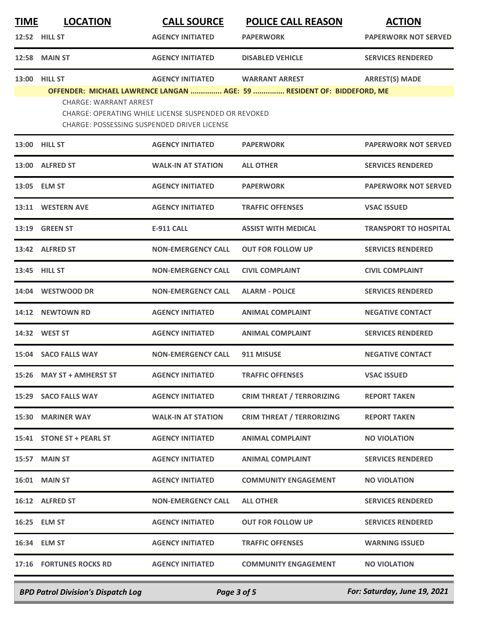| <b>TIME</b> | <b>LOCATION</b>               | <b>CALL SOURCE</b>                                   | <b>POLICE CALL REASON</b>                                              | <b>ACTION</b>                |
|-------------|-------------------------------|------------------------------------------------------|------------------------------------------------------------------------|------------------------------|
|             | 12:52 HILL ST                 | <b>AGENCY INITIATED</b>                              | <b>PAPERWORK</b>                                                       | <b>PAPERWORK NOT SERVED</b>  |
|             | <b>12:58 MAIN ST</b>          | <b>AGENCY INITIATED</b>                              | <b>DISABLED VEHICLE</b>                                                | <b>SERVICES RENDERED</b>     |
|             | 13:00 HILL ST                 | <b>AGENCY INITIATED</b>                              | <b>WARRANT ARREST</b>                                                  | <b>ARREST(S) MADE</b>        |
|             | <b>CHARGE: WARRANT ARREST</b> |                                                      | OFFENDER: MICHAEL LAWRENCE LANGAN  AGE: 59  RESIDENT OF: BIDDEFORD, ME |                              |
|             |                               | CHARGE: OPERATING WHILE LICENSE SUSPENDED OR REVOKED |                                                                        |                              |
|             |                               | CHARGE: POSSESSING SUSPENDED DRIVER LICENSE          |                                                                        |                              |
|             | <b>13:00 HILL ST</b>          | <b>AGENCY INITIATED</b>                              | <b>PAPERWORK</b>                                                       | <b>PAPERWORK NOT SERVED</b>  |
|             | 13:00 ALFRED ST               | <b>WALK-IN AT STATION</b>                            | <b>ALL OTHER</b>                                                       | <b>SERVICES RENDERED</b>     |
|             | 13:05 ELM ST                  | <b>AGENCY INITIATED</b>                              | <b>PAPERWORK</b>                                                       | <b>PAPERWORK NOT SERVED</b>  |
|             | 13:11 WESTERN AVE             | <b>AGENCY INITIATED</b>                              | <b>TRAFFIC OFFENSES</b>                                                | <b>VSAC ISSUED</b>           |
|             | 13:19 GREEN ST                | <b>E-911 CALL</b>                                    | <b>ASSIST WITH MEDICAL</b>                                             | <b>TRANSPORT TO HOSPITAL</b> |
|             | 13:42 ALFRED ST               | <b>NON-EMERGENCY CALL</b>                            | <b>OUT FOR FOLLOW UP</b>                                               | <b>SERVICES RENDERED</b>     |
| 13:45       | <b>HILL ST</b>                | <b>NON-EMERGENCY CALL</b>                            | <b>CIVIL COMPLAINT</b>                                                 | <b>CIVIL COMPLAINT</b>       |
|             | 14:04 WESTWOOD DR             | <b>NON-EMERGENCY CALL</b>                            | <b>ALARM - POLICE</b>                                                  | <b>SERVICES RENDERED</b>     |
|             | 14:12 NEWTOWN RD              | <b>AGENCY INITIATED</b>                              | <b>ANIMAL COMPLAINT</b>                                                | <b>NEGATIVE CONTACT</b>      |
|             | 14:32 WEST ST                 | <b>AGENCY INITIATED</b>                              | <b>ANIMAL COMPLAINT</b>                                                | <b>SERVICES RENDERED</b>     |
|             | 15:04 SACO FALLS WAY          | <b>NON-EMERGENCY CALL</b>                            | 911 MISUSE                                                             | <b>NEGATIVE CONTACT</b>      |
|             | 15:26 MAY ST + AMHERST ST     | <b>AGENCY INITIATED</b>                              | <b>TRAFFIC OFFENSES</b>                                                | <b>VSAC ISSUED</b>           |
|             | 15:29 SACO FALLS WAY          | <b>AGENCY INITIATED</b>                              | <b>CRIM THREAT / TERRORIZING</b>                                       | <b>REPORT TAKEN</b>          |
|             | 15:30 MARINER WAY             | <b>WALK-IN AT STATION</b>                            | <b>CRIM THREAT / TERRORIZING</b>                                       | <b>REPORT TAKEN</b>          |
|             | 15:41 STONE ST + PEARL ST     | <b>AGENCY INITIATED</b>                              | ANIMAL COMPLAINT                                                       | <b>NO VIOLATION</b>          |
|             | 15:57 MAIN ST                 | <b>AGENCY INITIATED</b>                              | <b>ANIMAL COMPLAINT</b>                                                | <b>SERVICES RENDERED</b>     |
|             | <b>16:01 MAIN ST</b>          | <b>AGENCY INITIATED</b>                              | <b>COMMUNITY ENGAGEMENT</b>                                            | <b>NO VIOLATION</b>          |
|             | 16:12 ALFRED ST               | <b>NON-EMERGENCY CALL</b>                            | <b>ALL OTHER</b>                                                       | <b>SERVICES RENDERED</b>     |
|             | 16:25 ELM ST                  | <b>AGENCY INITIATED</b>                              | <b>OUT FOR FOLLOW UP</b>                                               | <b>SERVICES RENDERED</b>     |
|             | 16:34 ELM ST                  | <b>AGENCY INITIATED</b>                              | <b>TRAFFIC OFFENSES</b>                                                | <b>WARNING ISSUED</b>        |
|             | 17:16 FORTUNES ROCKS RD       | <b>AGENCY INITIATED</b>                              | <b>COMMUNITY ENGAGEMENT</b>                                            | <b>NO VIOLATION</b>          |
|             |                               |                                                      |                                                                        |                              |

*BPD Patrol Division's Dispatch Log Page 3 of 5 For: Saturday, June 19, 2021*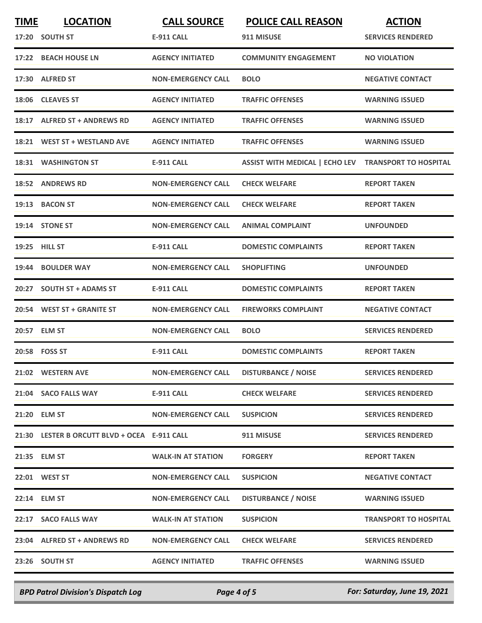| <b>TIME</b> | <b>LOCATION</b><br>17:20 SOUTH ST            | <b>CALL SOURCE</b><br><b>E-911 CALL</b> | <b>POLICE CALL REASON</b><br>911 MISUSE | <b>ACTION</b><br><b>SERVICES RENDERED</b> |
|-------------|----------------------------------------------|-----------------------------------------|-----------------------------------------|-------------------------------------------|
| 17:22       | <b>BEACH HOUSE LN</b>                        | <b>AGENCY INITIATED</b>                 | <b>COMMUNITY ENGAGEMENT</b>             | <b>NO VIOLATION</b>                       |
|             | 17:30 ALFRED ST                              | <b>NON-EMERGENCY CALL</b>               | <b>BOLO</b>                             | <b>NEGATIVE CONTACT</b>                   |
| 18:06       | <b>CLEAVES ST</b>                            | <b>AGENCY INITIATED</b>                 | <b>TRAFFIC OFFENSES</b>                 | <b>WARNING ISSUED</b>                     |
|             | 18:17 ALFRED ST + ANDREWS RD                 | <b>AGENCY INITIATED</b>                 | <b>TRAFFIC OFFENSES</b>                 | <b>WARNING ISSUED</b>                     |
|             | 18:21 WEST ST + WESTLAND AVE                 | <b>AGENCY INITIATED</b>                 | <b>TRAFFIC OFFENSES</b>                 | <b>WARNING ISSUED</b>                     |
|             | 18:31 WASHINGTON ST                          | <b>E-911 CALL</b>                       | <b>ASSIST WITH MEDICAL   ECHO LEV</b>   | <b>TRANSPORT TO HOSPITAL</b>              |
|             | 18:52 ANDREWS RD                             | <b>NON-EMERGENCY CALL</b>               | <b>CHECK WELFARE</b>                    | <b>REPORT TAKEN</b>                       |
|             | 19:13 BACON ST                               | <b>NON-EMERGENCY CALL</b>               | <b>CHECK WELFARE</b>                    | <b>REPORT TAKEN</b>                       |
|             | 19:14 STONE ST                               | <b>NON-EMERGENCY CALL</b>               | <b>ANIMAL COMPLAINT</b>                 | <b>UNFOUNDED</b>                          |
|             | 19:25 HILL ST                                | <b>E-911 CALL</b>                       | <b>DOMESTIC COMPLAINTS</b>              | <b>REPORT TAKEN</b>                       |
| 19:44       | <b>BOULDER WAY</b>                           | <b>NON-EMERGENCY CALL</b>               | <b>SHOPLIFTING</b>                      | <b>UNFOUNDED</b>                          |
| 20:27       | <b>SOUTH ST + ADAMS ST</b>                   | <b>E-911 CALL</b>                       | <b>DOMESTIC COMPLAINTS</b>              | <b>REPORT TAKEN</b>                       |
|             | 20:54 WEST ST + GRANITE ST                   | <b>NON-EMERGENCY CALL</b>               | <b>FIREWORKS COMPLAINT</b>              | <b>NEGATIVE CONTACT</b>                   |
|             | 20:57 ELM ST                                 | <b>NON-EMERGENCY CALL</b>               | <b>BOLO</b>                             | <b>SERVICES RENDERED</b>                  |
|             | 20:58 FOSS ST                                | <b>E-911 CALL</b>                       | <b>DOMESTIC COMPLAINTS</b>              | <b>REPORT TAKEN</b>                       |
|             | 21:02 WESTERN AVE                            | <b>NON-EMERGENCY CALL</b>               | <b>DISTURBANCE / NOISE</b>              | <b>SERVICES RENDERED</b>                  |
|             | 21:04 SACO FALLS WAY                         | E-911 CALL                              | <b>CHECK WELFARE</b>                    | <b>SERVICES RENDERED</b>                  |
|             | 21:20 ELM ST                                 | <b>NON-EMERGENCY CALL</b>               | <b>SUSPICION</b>                        | <b>SERVICES RENDERED</b>                  |
|             | 21:30 LESTER B ORCUTT BLVD + OCEA E-911 CALL |                                         | 911 MISUSE                              | <b>SERVICES RENDERED</b>                  |
|             | 21:35 ELM ST                                 | <b>WALK-IN AT STATION</b>               | <b>FORGERY</b>                          | <b>REPORT TAKEN</b>                       |
|             | 22:01 WEST ST                                | <b>NON-EMERGENCY CALL</b>               | <b>SUSPICION</b>                        | <b>NEGATIVE CONTACT</b>                   |
|             | 22:14 ELM ST                                 | <b>NON-EMERGENCY CALL</b>               | <b>DISTURBANCE / NOISE</b>              | <b>WARNING ISSUED</b>                     |
|             | 22:17 SACO FALLS WAY                         | <b>WALK-IN AT STATION</b>               | <b>SUSPICION</b>                        | <b>TRANSPORT TO HOSPITAL</b>              |
|             | 23:04 ALFRED ST + ANDREWS RD                 | <b>NON-EMERGENCY CALL</b>               | <b>CHECK WELFARE</b>                    | <b>SERVICES RENDERED</b>                  |
|             | 23:26 SOUTH ST                               | <b>AGENCY INITIATED</b>                 | <b>TRAFFIC OFFENSES</b>                 | <b>WARNING ISSUED</b>                     |

*BPD Patrol Division's Dispatch Log Page 4 of 5 For: Saturday, June 19, 2021*